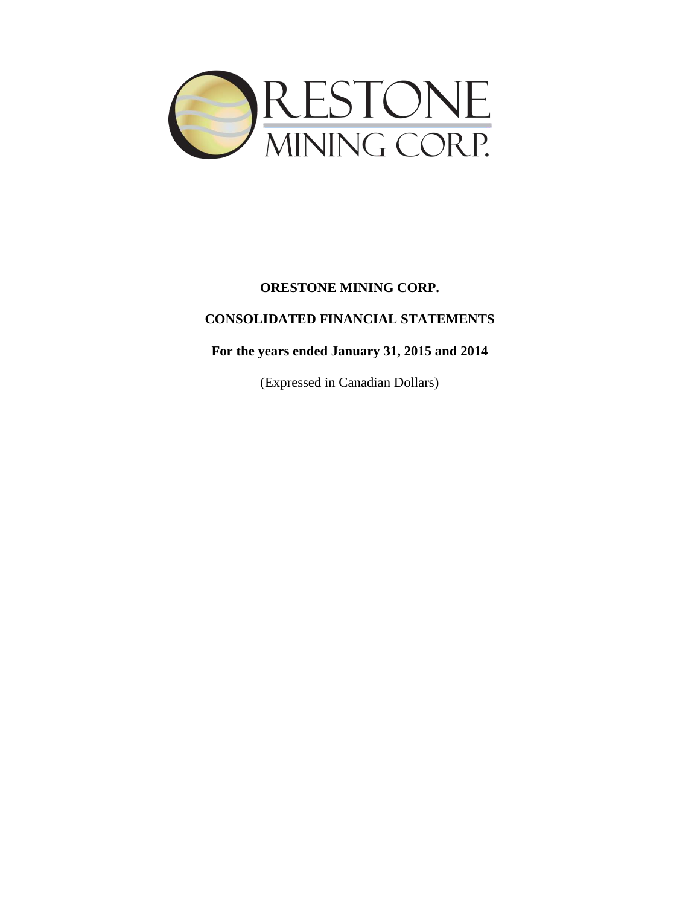

# **ORESTONE MINING CORP.**

# **CONSOLIDATED FINANCIAL STATEMENTS**

# **For the years ended January 31, 2015 and 2014**

(Expressed in Canadian Dollars)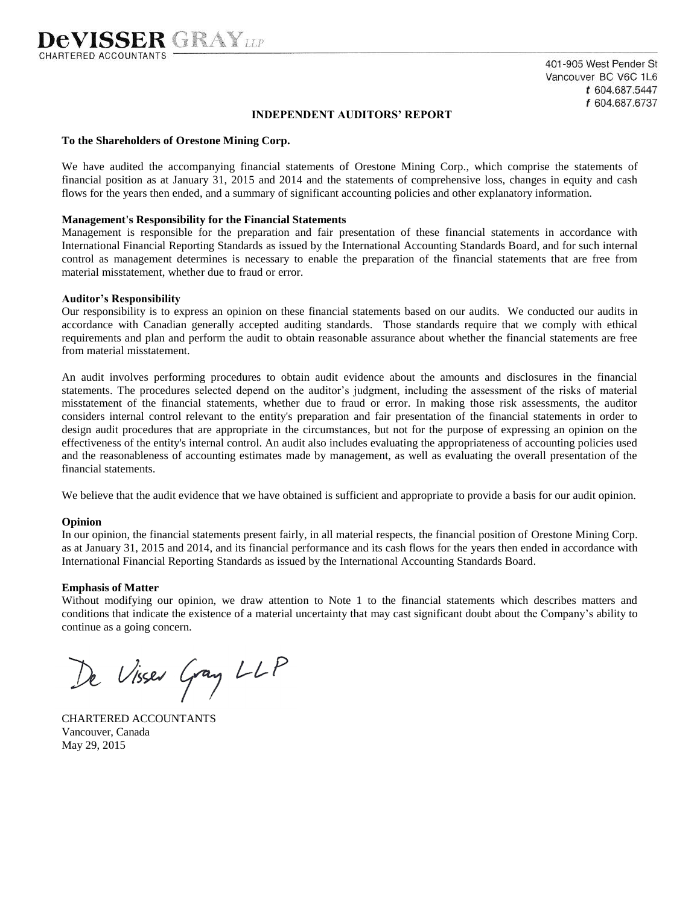401-905 West Pender St Vancouver BC V6C 1L6 t 604.687.5447 f 604.687.6737

#### **INDEPENDENT AUDITORS' REPORT**

#### **To the Shareholders of Orestone Mining Corp.**

We have audited the accompanying financial statements of Orestone Mining Corp., which comprise the statements of financial position as at January 31, 2015 and 2014 and the statements of comprehensive loss, changes in equity and cash flows for the years then ended, and a summary of significant accounting policies and other explanatory information.

## **Management's Responsibility for the Financial Statements**

Management is responsible for the preparation and fair presentation of these financial statements in accordance with International Financial Reporting Standards as issued by the International Accounting Standards Board, and for such internal control as management determines is necessary to enable the preparation of the financial statements that are free from material misstatement, whether due to fraud or error.

#### **Auditor's Responsibility**

Our responsibility is to express an opinion on these financial statements based on our audits. We conducted our audits in accordance with Canadian generally accepted auditing standards. Those standards require that we comply with ethical requirements and plan and perform the audit to obtain reasonable assurance about whether the financial statements are free from material misstatement.

An audit involves performing procedures to obtain audit evidence about the amounts and disclosures in the financial statements. The procedures selected depend on the auditor's judgment, including the assessment of the risks of material misstatement of the financial statements, whether due to fraud or error. In making those risk assessments, the auditor considers internal control relevant to the entity's preparation and fair presentation of the financial statements in order to design audit procedures that are appropriate in the circumstances, but not for the purpose of expressing an opinion on the effectiveness of the entity's internal control. An audit also includes evaluating the appropriateness of accounting policies used and the reasonableness of accounting estimates made by management, as well as evaluating the overall presentation of the financial statements.

We believe that the audit evidence that we have obtained is sufficient and appropriate to provide a basis for our audit opinion.

#### **Opinion**

In our opinion, the financial statements present fairly, in all material respects, the financial position of Orestone Mining Corp. as at January 31, 2015 and 2014, and its financial performance and its cash flows for the years then ended in accordance with International Financial Reporting Standards as issued by the International Accounting Standards Board.

#### **Emphasis of Matter**

Without modifying our opinion, we draw attention to Note 1 to the financial statements which describes matters and conditions that indicate the existence of a material uncertainty that may cast significant doubt about the Company's ability to continue as a going concern.

De Visser Gray LLP

CHARTERED ACCOUNTANTS Vancouver, Canada May 29, 2015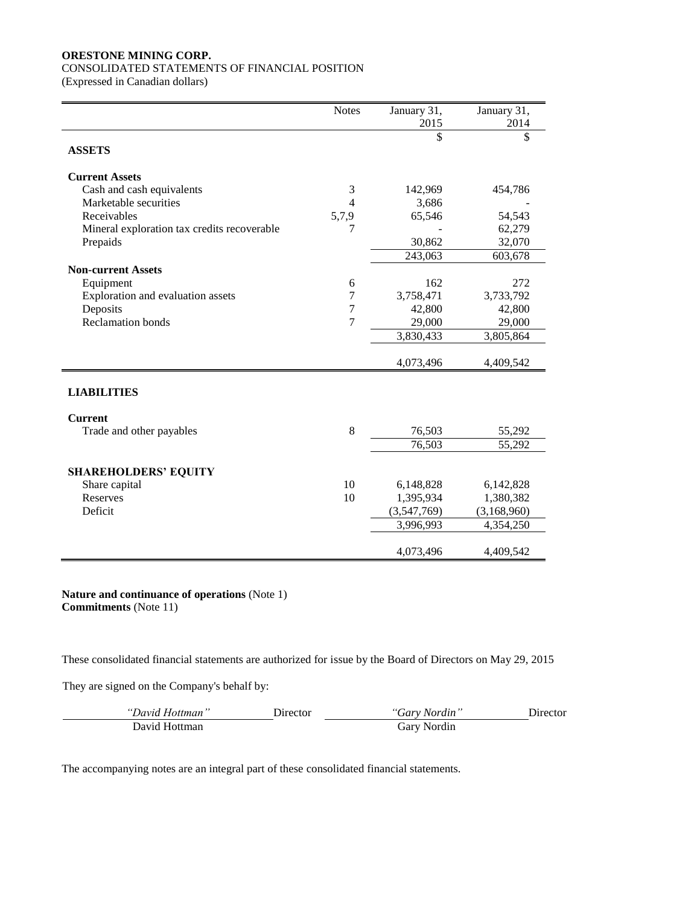## **ORESTONE MINING CORP.**

# CONSOLIDATED STATEMENTS OF FINANCIAL POSITION

(Expressed in Canadian dollars)

|                                             | <b>Notes</b>   | January 31, | January 31, |
|---------------------------------------------|----------------|-------------|-------------|
|                                             |                | 2015        | 2014        |
|                                             |                | \$          | \$          |
| <b>ASSETS</b>                               |                |             |             |
| <b>Current Assets</b>                       |                |             |             |
| Cash and cash equivalents                   | 3              | 142,969     | 454,786     |
| Marketable securities                       | $\overline{4}$ | 3,686       |             |
| Receivables                                 | 5,7,9          | 65,546      | 54,543      |
| Mineral exploration tax credits recoverable | 7              |             | 62,279      |
| Prepaids                                    |                | 30,862      | 32,070      |
|                                             |                |             |             |
|                                             |                | 243,063     | 603,678     |
| <b>Non-current Assets</b>                   |                |             |             |
| Equipment                                   | 6              | 162         | 272         |
| Exploration and evaluation assets           | 7              | 3,758,471   | 3,733,792   |
| Deposits                                    | 7              | 42,800      | 42,800      |
| <b>Reclamation</b> bonds                    | 7              | 29,000      | 29,000      |
|                                             |                | 3,830,433   | 3,805,864   |
|                                             |                |             |             |
|                                             |                | 4,073,496   | 4,409,542   |
|                                             |                |             |             |
| <b>LIABILITIES</b>                          |                |             |             |
| <b>Current</b>                              |                |             |             |
| Trade and other payables                    | 8              | 76,503      | 55,292      |
|                                             |                | 76,503      | 55,292      |
|                                             |                |             |             |
| <b>SHAREHOLDERS' EQUITY</b>                 |                |             |             |
| Share capital                               | 10             | 6,148,828   | 6,142,828   |
| Reserves                                    | 10             | 1,395,934   | 1,380,382   |
| Deficit                                     |                | (3,547,769) | (3,168,960) |
|                                             |                | 3,996,993   | 4,354,250   |
|                                             |                |             |             |
|                                             |                | 4,073,496   | 4,409,542   |

**Nature and continuance of operations** (Note 1) **Commitments** (Note 11)

These consolidated financial statements are authorized for issue by the Board of Directors on May 29, 2015

They are signed on the Company's behalf by:

| "David Hottman" | Jirector | "Gary Nordin" | Jirector |
|-----------------|----------|---------------|----------|
| David Hottman   |          | Gary Nordin   |          |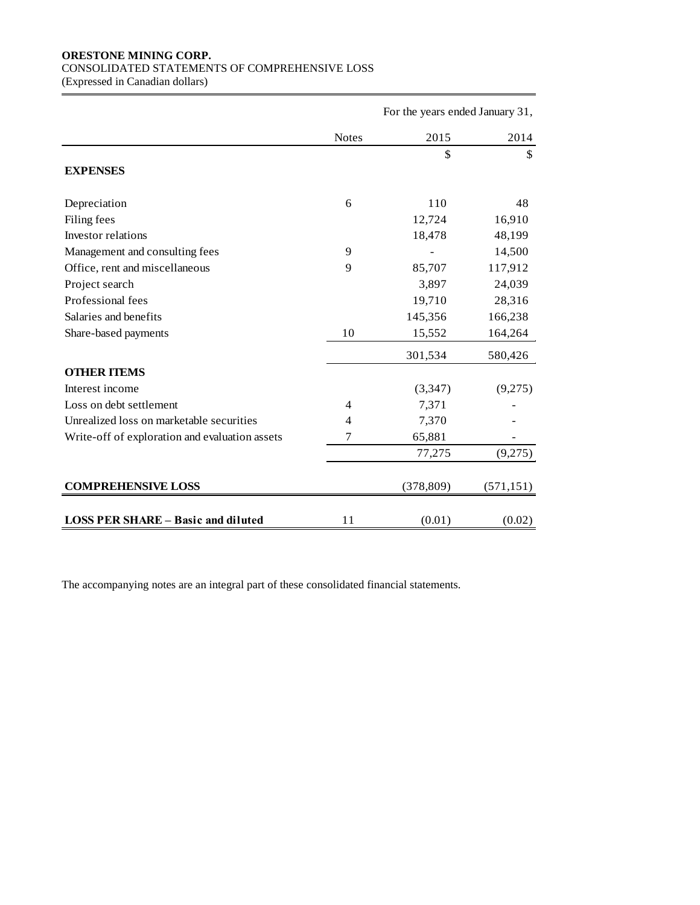# **ORESTONE MINING CORP.** CONSOLIDATED STATEMENTS OF COMPREHENSIVE LOSS

(Expressed in Canadian dollars)

|                                                | For the years ended January 31, |            |            |  |
|------------------------------------------------|---------------------------------|------------|------------|--|
|                                                | <b>Notes</b>                    | 2015       | 2014       |  |
|                                                |                                 | \$         | \$         |  |
| <b>EXPENSES</b>                                |                                 |            |            |  |
| Depreciation                                   | 6                               | 110        | 48         |  |
| Filing fees                                    |                                 | 12,724     | 16,910     |  |
| Investor relations                             |                                 | 18,478     | 48,199     |  |
| Management and consulting fees                 | 9                               |            | 14,500     |  |
| Office, rent and miscellaneous                 | 9                               | 85,707     | 117,912    |  |
| Project search                                 |                                 | 3,897      | 24,039     |  |
| Professional fees                              |                                 | 19,710     | 28,316     |  |
| Salaries and benefits                          |                                 | 145,356    | 166,238    |  |
| Share-based payments                           | 10                              | 15,552     | 164,264    |  |
|                                                |                                 | 301,534    | 580,426    |  |
| <b>OTHER ITEMS</b>                             |                                 |            |            |  |
| Interest income                                |                                 | (3,347)    | (9,275)    |  |
| Loss on debt settlement                        | 4                               | 7,371      |            |  |
| Unrealized loss on marketable securities       | $\overline{4}$                  | 7,370      |            |  |
| Write-off of exploration and evaluation assets | 7                               | 65,881     |            |  |
|                                                |                                 | 77,275     | (9,275)    |  |
| <b>COMPREHENSIVE LOSS</b>                      |                                 | (378, 809) | (571, 151) |  |
| <b>LOSS PER SHARE – Basic and diluted</b>      | 11                              | (0.01)     | (0.02)     |  |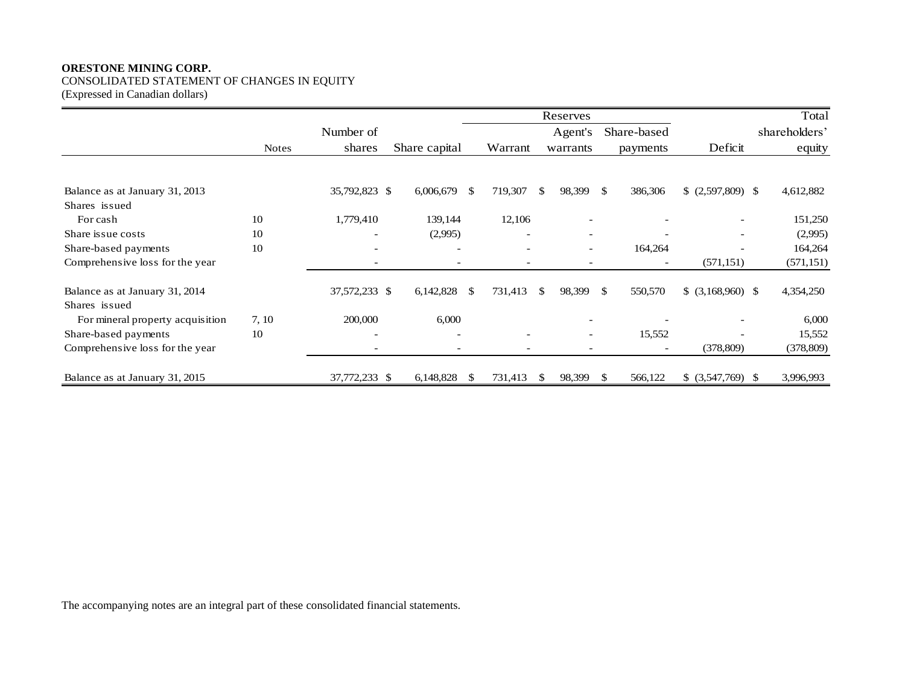# **ORESTONE MINING CORP.**

# CONSOLIDATED STATEMENT OF CHANGES IN EQUITY

(Expressed in Canadian dollars)

|                                                 |              |                          |                          |     |                          |               | Reserves                 |      |                          |                          | Total         |
|-------------------------------------------------|--------------|--------------------------|--------------------------|-----|--------------------------|---------------|--------------------------|------|--------------------------|--------------------------|---------------|
|                                                 |              | Number of                |                          |     |                          |               | Agent's                  |      | Share-based              |                          | shareholders' |
|                                                 | <b>Notes</b> | shares                   | Share capital            |     | Warrant                  |               | warrants                 |      | payments                 | Deficit                  | equity        |
|                                                 |              |                          |                          |     |                          |               |                          |      |                          |                          |               |
| Balance as at January 31, 2013                  |              | 35,792,823 \$            | 6,006,679                | \$. | 719,307                  | <sup>\$</sup> | 98,399                   | -\$  | 386,306                  | $(2,597,809)$ \$         | 4,612,882     |
| Shares issued                                   |              |                          |                          |     |                          |               |                          |      |                          |                          |               |
| For cash                                        | 10           | 1,779,410                | 139,144                  |     | 12,106                   |               | $\overline{\phantom{a}}$ |      |                          |                          | 151,250       |
| Share issue costs                               | 10           | $\overline{\phantom{a}}$ | (2,995)                  |     | $\overline{\phantom{a}}$ |               | $\overline{\phantom{a}}$ |      |                          | $\overline{\phantom{a}}$ | (2,995)       |
| Share-based payments                            | 10           | $\overline{\phantom{0}}$ |                          |     | $\overline{\phantom{a}}$ |               | $\overline{\phantom{a}}$ |      | 164,264                  |                          | 164,264       |
| Comprehensive loss for the year                 |              | $\overline{\phantom{a}}$ | $\overline{\phantom{a}}$ |     | $\overline{\phantom{a}}$ |               | $\overline{\phantom{a}}$ |      | $\overline{\phantom{a}}$ | (571, 151)               | (571, 151)    |
| Balance as at January 31, 2014<br>Shares issued |              | 37,572,233 \$            | 6,142,828                | -S  | 731,413                  | \$            | 98,399                   | - \$ | 550,570                  | $$$ (3,168,960) \$       | 4,354,250     |
| For mineral property acquisition                | 7, 10        | 200,000                  | 6,000                    |     |                          |               | $\overline{\phantom{0}}$ |      |                          |                          | 6,000         |
| Share-based payments                            | 10           | $\overline{\phantom{a}}$ | $\overline{\phantom{a}}$ |     | $\overline{\phantom{a}}$ |               | $\overline{\phantom{a}}$ |      | 15,552                   |                          | 15,552        |
| Comprehensive loss for the year                 |              |                          |                          |     |                          |               | $\overline{\phantom{a}}$ |      |                          | (378, 809)               | (378, 809)    |
| Balance as at January 31, 2015                  |              | 37,772,233 \$            | 6,148,828                |     | 731,413                  | \$.           | 98,399                   | \$   | 566,122                  | $$ (3,547,769)$ \\$      | 3,996,993     |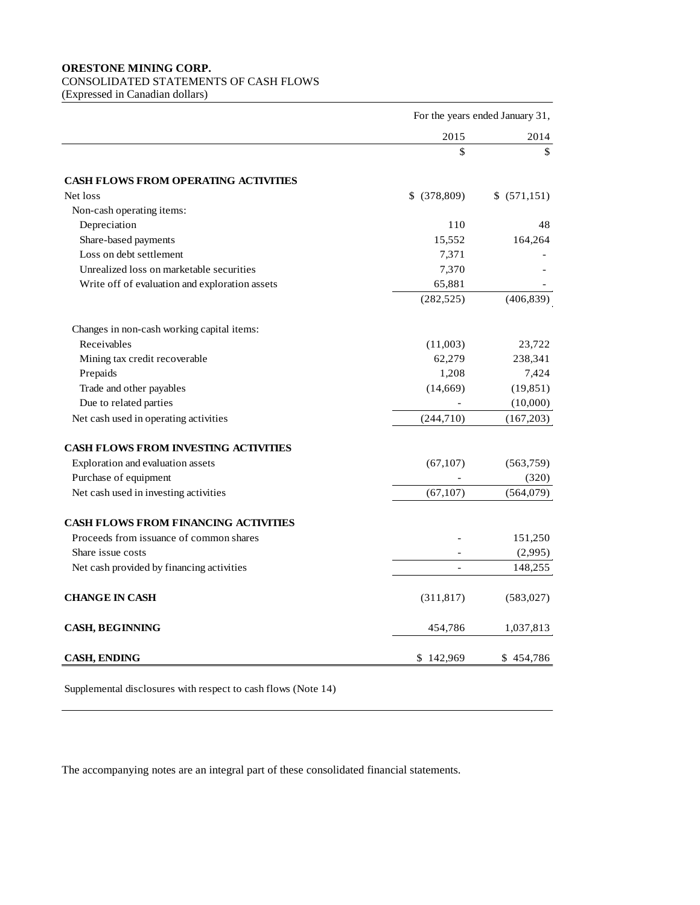# **ORESTONE MINING CORP.**

# CONSOLIDATED STATEMENTS OF CASH FLOWS

(Expressed in Canadian dollars)

|                                                | For the years ended January 31, |              |  |
|------------------------------------------------|---------------------------------|--------------|--|
|                                                | 2015                            | 2014         |  |
|                                                | \$                              |              |  |
| <b>CASH FLOWS FROM OPERATING ACTIVITIES</b>    |                                 |              |  |
| Net loss                                       | $$^{(378,809)}$                 | \$ (571,151) |  |
| Non-cash operating items:                      |                                 |              |  |
| Depreciation                                   | 110                             | 48           |  |
| Share-based payments                           | 15,552                          | 164,264      |  |
| Loss on debt settlement                        | 7,371                           |              |  |
| Unrealized loss on marketable securities       | 7,370                           |              |  |
| Write off of evaluation and exploration assets | 65,881                          |              |  |
|                                                | (282, 525)                      | (406, 839)   |  |
| Changes in non-cash working capital items:     |                                 |              |  |
| Receivables                                    | (11,003)                        | 23,722       |  |
| Mining tax credit recoverable                  | 62,279                          | 238,341      |  |
| Prepaids                                       | 1,208                           | 7,424        |  |
| Trade and other payables                       | (14, 669)                       | (19, 851)    |  |
| Due to related parties                         |                                 | (10,000)     |  |
| Net cash used in operating activities          | (244, 710)                      | (167, 203)   |  |
| <b>CASH FLOWS FROM INVESTING ACTIVITIES</b>    |                                 |              |  |
| Exploration and evaluation assets              | (67, 107)                       | (563,759)    |  |
| Purchase of equipment                          |                                 | (320)        |  |
| Net cash used in investing activities          | (67, 107)                       | (564,079)    |  |
| <b>CASH FLOWS FROM FINANCING ACTIVITIES</b>    |                                 |              |  |
| Proceeds from issuance of common shares        |                                 | 151,250      |  |
| Share issue costs                              |                                 | (2,995)      |  |
| Net cash provided by financing activities      |                                 | 148,255      |  |
| <b>CHANGE IN CASH</b>                          | (311, 817)                      | (583, 027)   |  |
| <b>CASH, BEGINNING</b>                         | 454,786                         | 1,037,813    |  |
| <b>CASH, ENDING</b>                            | \$142,969                       | \$454,786    |  |

Supplemental disclosures with respect to cash flows (Note 14)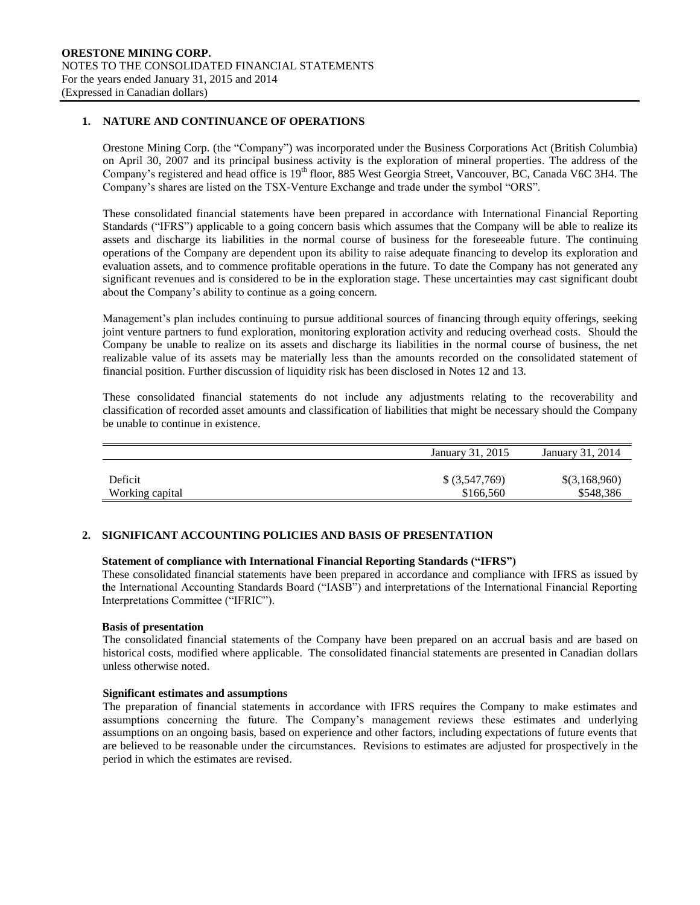## **1. NATURE AND CONTINUANCE OF OPERATIONS**

Orestone Mining Corp. (the "Company") was incorporated under the Business Corporations Act (British Columbia) on April 30, 2007 and its principal business activity is the exploration of mineral properties. The address of the Company's registered and head office is 19<sup>th</sup> floor, 885 West Georgia Street, Vancouver, BC, Canada V6C 3H4. The Company's shares are listed on the TSX-Venture Exchange and trade under the symbol "ORS".

These consolidated financial statements have been prepared in accordance with International Financial Reporting Standards ("IFRS") applicable to a going concern basis which assumes that the Company will be able to realize its assets and discharge its liabilities in the normal course of business for the foreseeable future. The continuing operations of the Company are dependent upon its ability to raise adequate financing to develop its exploration and evaluation assets, and to commence profitable operations in the future. To date the Company has not generated any significant revenues and is considered to be in the exploration stage. These uncertainties may cast significant doubt about the Company's ability to continue as a going concern.

Management's plan includes continuing to pursue additional sources of financing through equity offerings, seeking joint venture partners to fund exploration, monitoring exploration activity and reducing overhead costs. Should the Company be unable to realize on its assets and discharge its liabilities in the normal course of business, the net realizable value of its assets may be materially less than the amounts recorded on the consolidated statement of financial position. Further discussion of liquidity risk has been disclosed in Notes 12 and 13.

These consolidated financial statements do not include any adjustments relating to the recoverability and classification of recorded asset amounts and classification of liabilities that might be necessary should the Company be unable to continue in existence.

|                 | January 31, 2015 | January 31, 2014 |
|-----------------|------------------|------------------|
|                 |                  |                  |
| Deficit         | $$$ (3,547,769)  | \$(3,168,960)    |
| Working capital | \$166,560        | \$548,386        |

# **2. SIGNIFICANT ACCOUNTING POLICIES AND BASIS OF PRESENTATION**

#### **Statement of compliance with International Financial Reporting Standards ("IFRS")**

These consolidated financial statements have been prepared in accordance and compliance with IFRS as issued by the International Accounting Standards Board ("IASB") and interpretations of the International Financial Reporting Interpretations Committee ("IFRIC").

#### **Basis of presentation**

The consolidated financial statements of the Company have been prepared on an accrual basis and are based on historical costs, modified where applicable. The consolidated financial statements are presented in Canadian dollars unless otherwise noted.

#### **Significant estimates and assumptions**

The preparation of financial statements in accordance with IFRS requires the Company to make estimates and assumptions concerning the future. The Company's management reviews these estimates and underlying assumptions on an ongoing basis, based on experience and other factors, including expectations of future events that are believed to be reasonable under the circumstances. Revisions to estimates are adjusted for prospectively in the period in which the estimates are revised.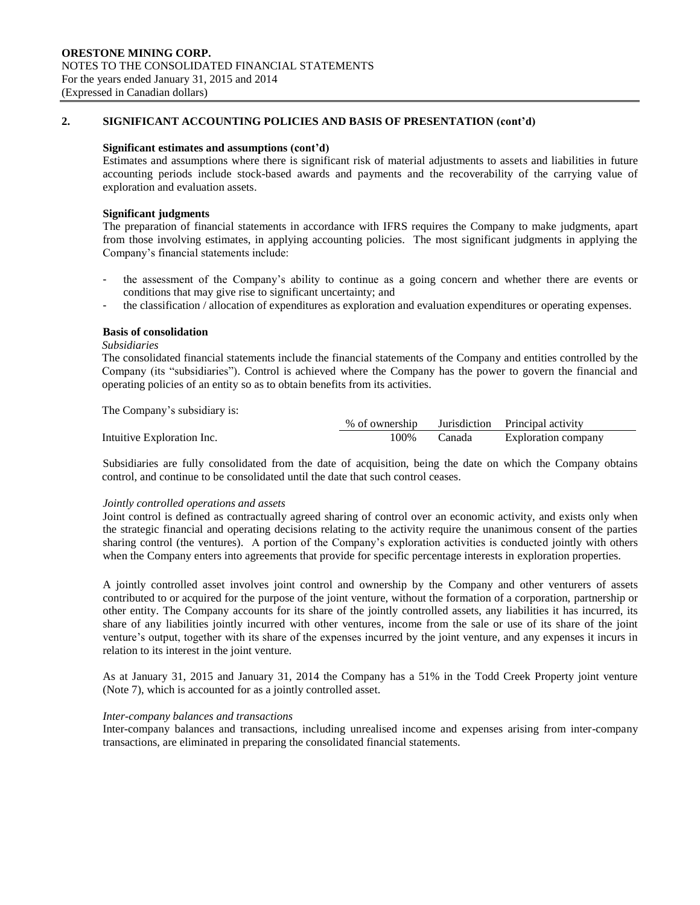#### **Significant estimates and assumptions (cont'd)**

Estimates and assumptions where there is significant risk of material adjustments to assets and liabilities in future accounting periods include stock-based awards and payments and the recoverability of the carrying value of exploration and evaluation assets.

### **Significant judgments**

The preparation of financial statements in accordance with IFRS requires the Company to make judgments, apart from those involving estimates, in applying accounting policies. The most significant judgments in applying the Company's financial statements include:

- the assessment of the Company's ability to continue as a going concern and whether there are events or conditions that may give rise to significant uncertainty; and
- the classification / allocation of expenditures as exploration and evaluation expenditures or operating expenses.

## **Basis of consolidation**

#### *Subsidiaries*

The consolidated financial statements include the financial statements of the Company and entities controlled by the Company (its "subsidiaries"). Control is achieved where the Company has the power to govern the financial and operating policies of an entity so as to obtain benefits from its activities.

The Company's subsidiary is:

|                            | % of ownership |        | <b>Example 1</b> Jurisdiction Principal activity |
|----------------------------|----------------|--------|--------------------------------------------------|
| Intuitive Exploration Inc. | 00%            | `anada | <b>Exploration company</b>                       |

Subsidiaries are fully consolidated from the date of acquisition, being the date on which the Company obtains control, and continue to be consolidated until the date that such control ceases.

## *Jointly controlled operations and assets*

Joint control is defined as contractually agreed sharing of control over an economic activity, and exists only when the strategic financial and operating decisions relating to the activity require the unanimous consent of the parties sharing control (the ventures). A portion of the Company's exploration activities is conducted jointly with others when the Company enters into agreements that provide for specific percentage interests in exploration properties.

A jointly controlled asset involves joint control and ownership by the Company and other venturers of assets contributed to or acquired for the purpose of the joint venture, without the formation of a corporation, partnership or other entity. The Company accounts for its share of the jointly controlled assets, any liabilities it has incurred, its share of any liabilities jointly incurred with other ventures, income from the sale or use of its share of the joint venture's output, together with its share of the expenses incurred by the joint venture, and any expenses it incurs in relation to its interest in the joint venture.

As at January 31, 2015 and January 31, 2014 the Company has a 51% in the Todd Creek Property joint venture (Note 7), which is accounted for as a jointly controlled asset.

#### *Inter-company balances and transactions*

Inter-company balances and transactions, including unrealised income and expenses arising from inter-company transactions, are eliminated in preparing the consolidated financial statements.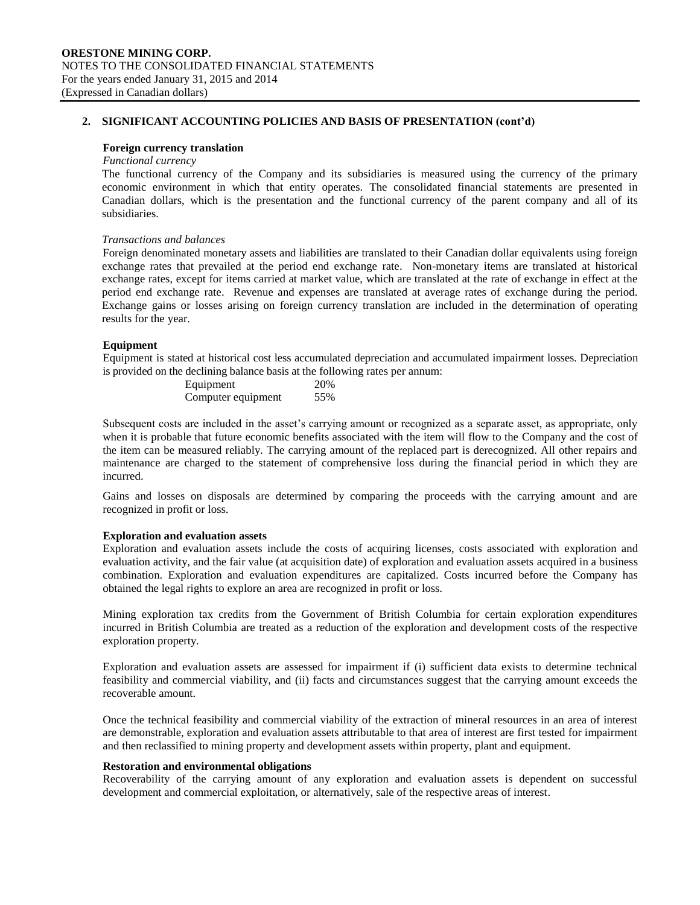#### **Foreign currency translation**

## *Functional currency*

The functional currency of the Company and its subsidiaries is measured using the currency of the primary economic environment in which that entity operates. The consolidated financial statements are presented in Canadian dollars, which is the presentation and the functional currency of the parent company and all of its subsidiaries.

#### *Transactions and balances*

Foreign denominated monetary assets and liabilities are translated to their Canadian dollar equivalents using foreign exchange rates that prevailed at the period end exchange rate. Non-monetary items are translated at historical exchange rates, except for items carried at market value, which are translated at the rate of exchange in effect at the period end exchange rate. Revenue and expenses are translated at average rates of exchange during the period. Exchange gains or losses arising on foreign currency translation are included in the determination of operating results for the year.

#### **Equipment**

Equipment is stated at historical cost less accumulated depreciation and accumulated impairment losses. Depreciation is provided on the declining balance basis at the following rates per annum:

| Equipment          | 20% |
|--------------------|-----|
| Computer equipment | 55% |

Subsequent costs are included in the asset's carrying amount or recognized as a separate asset, as appropriate, only when it is probable that future economic benefits associated with the item will flow to the Company and the cost of the item can be measured reliably. The carrying amount of the replaced part is derecognized. All other repairs and maintenance are charged to the statement of comprehensive loss during the financial period in which they are incurred.

Gains and losses on disposals are determined by comparing the proceeds with the carrying amount and are recognized in profit or loss.

#### **Exploration and evaluation assets**

Exploration and evaluation assets include the costs of acquiring licenses, costs associated with exploration and evaluation activity, and the fair value (at acquisition date) of exploration and evaluation assets acquired in a business combination. Exploration and evaluation expenditures are capitalized. Costs incurred before the Company has obtained the legal rights to explore an area are recognized in profit or loss.

Mining exploration tax credits from the Government of British Columbia for certain exploration expenditures incurred in British Columbia are treated as a reduction of the exploration and development costs of the respective exploration property.

Exploration and evaluation assets are assessed for impairment if (i) sufficient data exists to determine technical feasibility and commercial viability, and (ii) facts and circumstances suggest that the carrying amount exceeds the recoverable amount.

Once the technical feasibility and commercial viability of the extraction of mineral resources in an area of interest are demonstrable, exploration and evaluation assets attributable to that area of interest are first tested for impairment and then reclassified to mining property and development assets within property, plant and equipment.

## **Restoration and environmental obligations**

Recoverability of the carrying amount of any exploration and evaluation assets is dependent on successful development and commercial exploitation, or alternatively, sale of the respective areas of interest.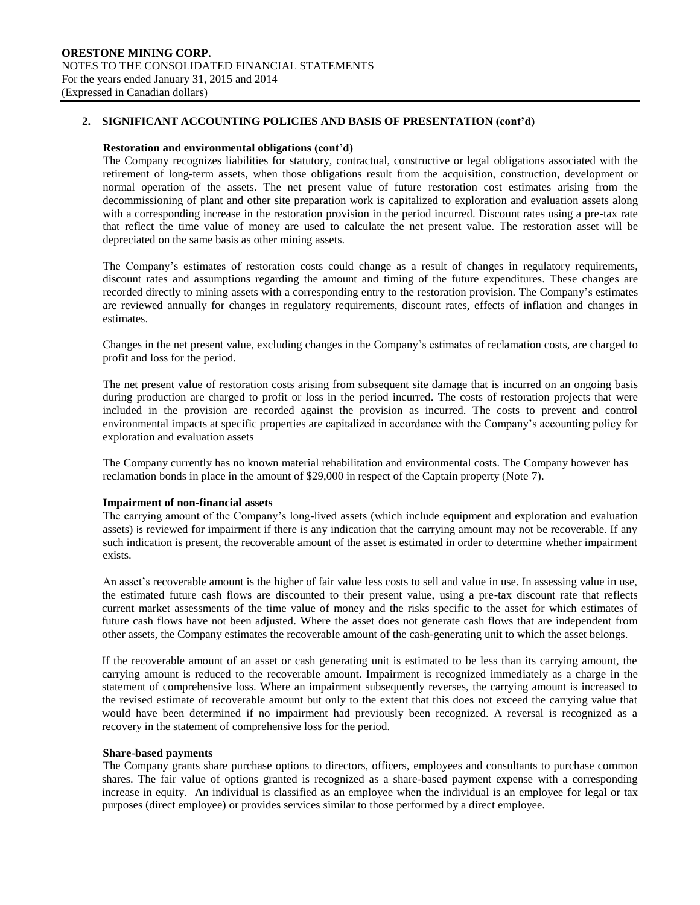#### **Restoration and environmental obligations (cont'd)**

The Company recognizes liabilities for statutory, contractual, constructive or legal obligations associated with the retirement of long-term assets, when those obligations result from the acquisition, construction, development or normal operation of the assets. The net present value of future restoration cost estimates arising from the decommissioning of plant and other site preparation work is capitalized to exploration and evaluation assets along with a corresponding increase in the restoration provision in the period incurred. Discount rates using a pre-tax rate that reflect the time value of money are used to calculate the net present value. The restoration asset will be depreciated on the same basis as other mining assets.

The Company's estimates of restoration costs could change as a result of changes in regulatory requirements, discount rates and assumptions regarding the amount and timing of the future expenditures. These changes are recorded directly to mining assets with a corresponding entry to the restoration provision. The Company's estimates are reviewed annually for changes in regulatory requirements, discount rates, effects of inflation and changes in estimates.

Changes in the net present value, excluding changes in the Company's estimates of reclamation costs, are charged to profit and loss for the period.

The net present value of restoration costs arising from subsequent site damage that is incurred on an ongoing basis during production are charged to profit or loss in the period incurred. The costs of restoration projects that were included in the provision are recorded against the provision as incurred. The costs to prevent and control environmental impacts at specific properties are capitalized in accordance with the Company's accounting policy for exploration and evaluation assets

The Company currently has no known material rehabilitation and environmental costs. The Company however has reclamation bonds in place in the amount of \$29,000 in respect of the Captain property (Note 7).

## **Impairment of non-financial assets**

The carrying amount of the Company's long-lived assets (which include equipment and exploration and evaluation assets) is reviewed for impairment if there is any indication that the carrying amount may not be recoverable. If any such indication is present, the recoverable amount of the asset is estimated in order to determine whether impairment exists.

An asset's recoverable amount is the higher of fair value less costs to sell and value in use. In assessing value in use, the estimated future cash flows are discounted to their present value, using a pre-tax discount rate that reflects current market assessments of the time value of money and the risks specific to the asset for which estimates of future cash flows have not been adjusted. Where the asset does not generate cash flows that are independent from other assets, the Company estimates the recoverable amount of the cash-generating unit to which the asset belongs.

If the recoverable amount of an asset or cash generating unit is estimated to be less than its carrying amount, the carrying amount is reduced to the recoverable amount. Impairment is recognized immediately as a charge in the statement of comprehensive loss. Where an impairment subsequently reverses, the carrying amount is increased to the revised estimate of recoverable amount but only to the extent that this does not exceed the carrying value that would have been determined if no impairment had previously been recognized. A reversal is recognized as a recovery in the statement of comprehensive loss for the period.

## **Share-based payments**

The Company grants share purchase options to directors, officers, employees and consultants to purchase common shares. The fair value of options granted is recognized as a share-based payment expense with a corresponding increase in equity. An individual is classified as an employee when the individual is an employee for legal or tax purposes (direct employee) or provides services similar to those performed by a direct employee.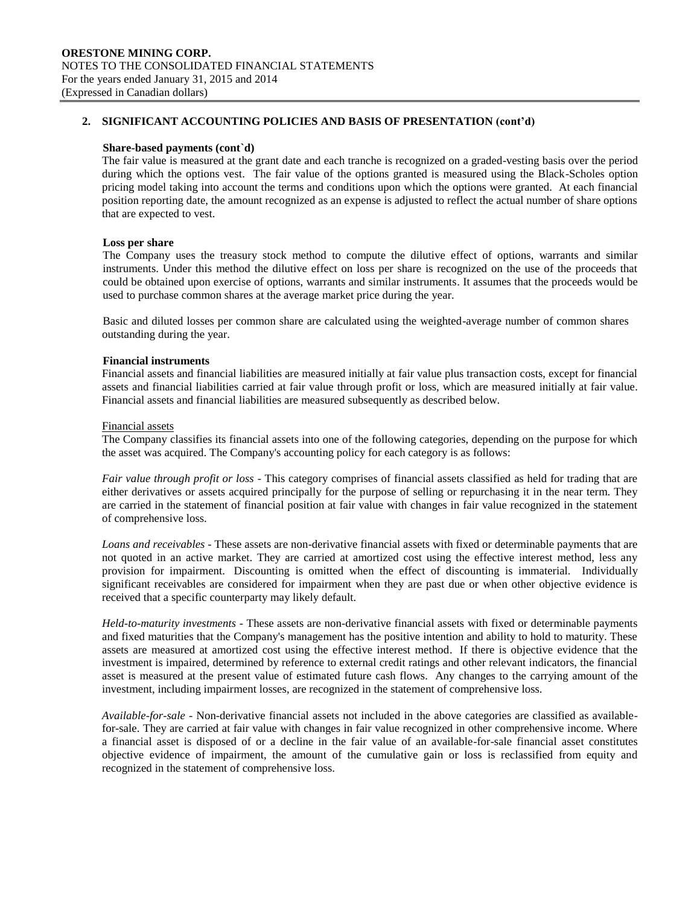#### **Share-based payments (cont`d)**

The fair value is measured at the grant date and each tranche is recognized on a graded-vesting basis over the period during which the options vest. The fair value of the options granted is measured using the Black-Scholes option pricing model taking into account the terms and conditions upon which the options were granted. At each financial position reporting date, the amount recognized as an expense is adjusted to reflect the actual number of share options that are expected to vest.

## **Loss per share**

The Company uses the treasury stock method to compute the dilutive effect of options, warrants and similar instruments. Under this method the dilutive effect on loss per share is recognized on the use of the proceeds that could be obtained upon exercise of options, warrants and similar instruments. It assumes that the proceeds would be used to purchase common shares at the average market price during the year.

Basic and diluted losses per common share are calculated using the weighted-average number of common shares outstanding during the year.

## **Financial instruments**

Financial assets and financial liabilities are measured initially at fair value plus transaction costs, except for financial assets and financial liabilities carried at fair value through profit or loss, which are measured initially at fair value. Financial assets and financial liabilities are measured subsequently as described below.

#### Financial assets

The Company classifies its financial assets into one of the following categories, depending on the purpose for which the asset was acquired. The Company's accounting policy for each category is as follows:

*Fair value through profit or loss* - This category comprises of financial assets classified as held for trading that are either derivatives or assets acquired principally for the purpose of selling or repurchasing it in the near term. They are carried in the statement of financial position at fair value with changes in fair value recognized in the statement of comprehensive loss.

*Loans and receivables* - These assets are non-derivative financial assets with fixed or determinable payments that are not quoted in an active market. They are carried at amortized cost using the effective interest method, less any provision for impairment. Discounting is omitted when the effect of discounting is immaterial. Individually significant receivables are considered for impairment when they are past due or when other objective evidence is received that a specific counterparty may likely default.

*Held-to-maturity investments* - These assets are non-derivative financial assets with fixed or determinable payments and fixed maturities that the Company's management has the positive intention and ability to hold to maturity. These assets are measured at amortized cost using the effective interest method. If there is objective evidence that the investment is impaired, determined by reference to external credit ratings and other relevant indicators, the financial asset is measured at the present value of estimated future cash flows. Any changes to the carrying amount of the investment, including impairment losses, are recognized in the statement of comprehensive loss.

*Available-for-sale* - Non-derivative financial assets not included in the above categories are classified as availablefor-sale. They are carried at fair value with changes in fair value recognized in other comprehensive income. Where a financial asset is disposed of or a decline in the fair value of an available-for-sale financial asset constitutes objective evidence of impairment, the amount of the cumulative gain or loss is reclassified from equity and recognized in the statement of comprehensive loss.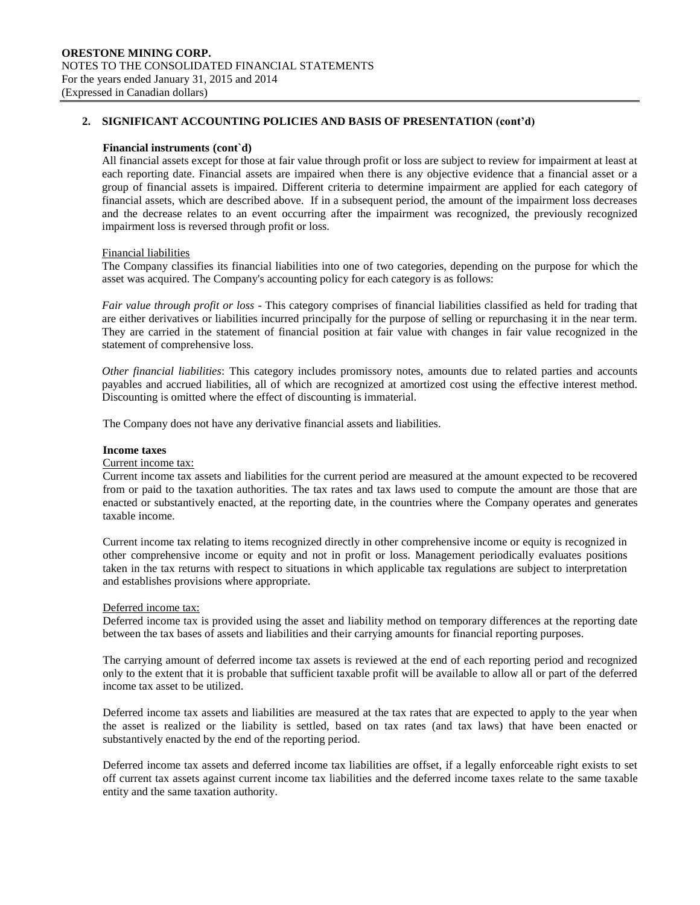### **Financial instruments (cont`d)**

All financial assets except for those at fair value through profit or loss are subject to review for impairment at least at each reporting date. Financial assets are impaired when there is any objective evidence that a financial asset or a group of financial assets is impaired. Different criteria to determine impairment are applied for each category of financial assets, which are described above. If in a subsequent period, the amount of the impairment loss decreases and the decrease relates to an event occurring after the impairment was recognized, the previously recognized impairment loss is reversed through profit or loss.

#### Financial liabilities

The Company classifies its financial liabilities into one of two categories, depending on the purpose for which the asset was acquired. The Company's accounting policy for each category is as follows:

*Fair value through profit or loss* - This category comprises of financial liabilities classified as held for trading that are either derivatives or liabilities incurred principally for the purpose of selling or repurchasing it in the near term. They are carried in the statement of financial position at fair value with changes in fair value recognized in the statement of comprehensive loss.

*Other financial liabilities*: This category includes promissory notes, amounts due to related parties and accounts payables and accrued liabilities, all of which are recognized at amortized cost using the effective interest method. Discounting is omitted where the effect of discounting is immaterial.

The Company does not have any derivative financial assets and liabilities.

### **Income taxes**

## Current income tax:

Current income tax assets and liabilities for the current period are measured at the amount expected to be recovered from or paid to the taxation authorities. The tax rates and tax laws used to compute the amount are those that are enacted or substantively enacted, at the reporting date, in the countries where the Company operates and generates taxable income.

Current income tax relating to items recognized directly in other comprehensive income or equity is recognized in other comprehensive income or equity and not in profit or loss. Management periodically evaluates positions taken in the tax returns with respect to situations in which applicable tax regulations are subject to interpretation and establishes provisions where appropriate.

#### Deferred income tax:

Deferred income tax is provided using the asset and liability method on temporary differences at the reporting date between the tax bases of assets and liabilities and their carrying amounts for financial reporting purposes.

The carrying amount of deferred income tax assets is reviewed at the end of each reporting period and recognized only to the extent that it is probable that sufficient taxable profit will be available to allow all or part of the deferred income tax asset to be utilized.

Deferred income tax assets and liabilities are measured at the tax rates that are expected to apply to the year when the asset is realized or the liability is settled, based on tax rates (and tax laws) that have been enacted or substantively enacted by the end of the reporting period.

Deferred income tax assets and deferred income tax liabilities are offset, if a legally enforceable right exists to set off current tax assets against current income tax liabilities and the deferred income taxes relate to the same taxable entity and the same taxation authority.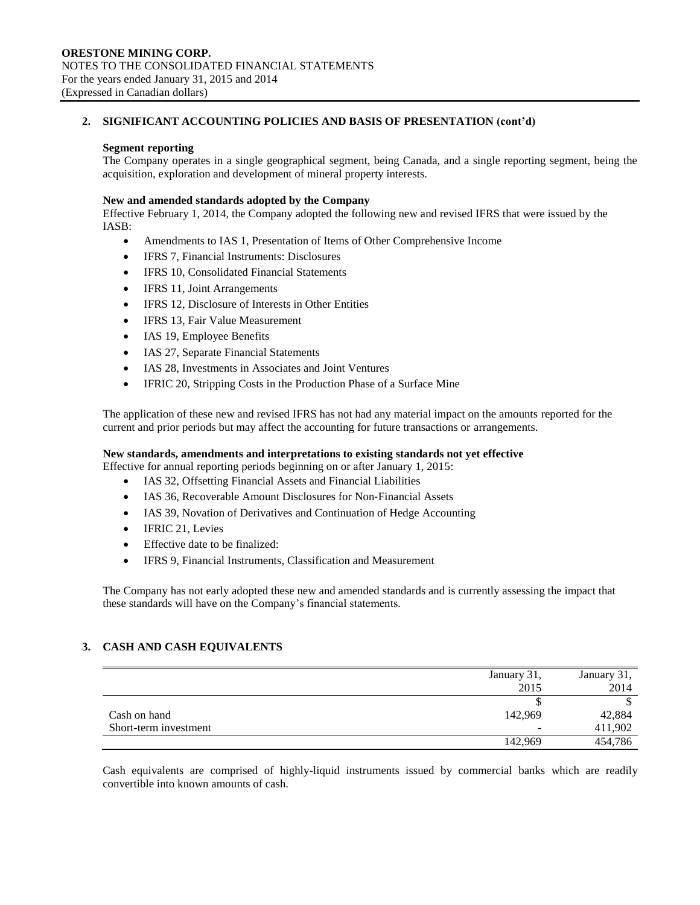#### **Segment reporting**

The Company operates in a single geographical segment, being Canada, and a single reporting segment, being the acquisition, exploration and development of mineral property interests.

### **New and amended standards adopted by the Company**

Effective February 1, 2014, the Company adopted the following new and revised IFRS that were issued by the IASB:

- Amendments to IAS 1, Presentation of Items of Other Comprehensive Income
- IFRS 7, Financial Instruments: Disclosures
- IFRS 10, Consolidated Financial Statements
- IFRS 11, Joint Arrangements
- IFRS 12, Disclosure of Interests in Other Entities
- IFRS 13, Fair Value Measurement
- IAS 19, Employee Benefits
- IAS 27, Separate Financial Statements
- IAS 28, Investments in Associates and Joint Ventures
- IFRIC 20, Stripping Costs in the Production Phase of a Surface Mine

The application of these new and revised IFRS has not had any material impact on the amounts reported for the current and prior periods but may affect the accounting for future transactions or arrangements.

## **New standards, amendments and interpretations to existing standards not yet effective**

- Effective for annual reporting periods beginning on or after January 1, 2015:
	- IAS 32, Offsetting Financial Assets and Financial Liabilities
	- IAS 36, Recoverable Amount Disclosures for Non‐Financial Assets
	- IAS 39, Novation of Derivatives and Continuation of Hedge Accounting
	- IFRIC 21, Levies
	- Effective date to be finalized:
	- IFRS 9, Financial Instruments, Classification and Measurement

The Company has not early adopted these new and amended standards and is currently assessing the impact that these standards will have on the Company's financial statements.

# **3. CASH AND CASH EQUIVALENTS**

|                       | January 31, | January 31, |
|-----------------------|-------------|-------------|
|                       | 2015        | 2014        |
|                       |             |             |
| Cash on hand          | 142.969     | 42,884      |
| Short-term investment | -           | 411,902     |
|                       | 142.969     | 454,786     |

Cash equivalents are comprised of highly-liquid instruments issued by commercial banks which are readily convertible into known amounts of cash.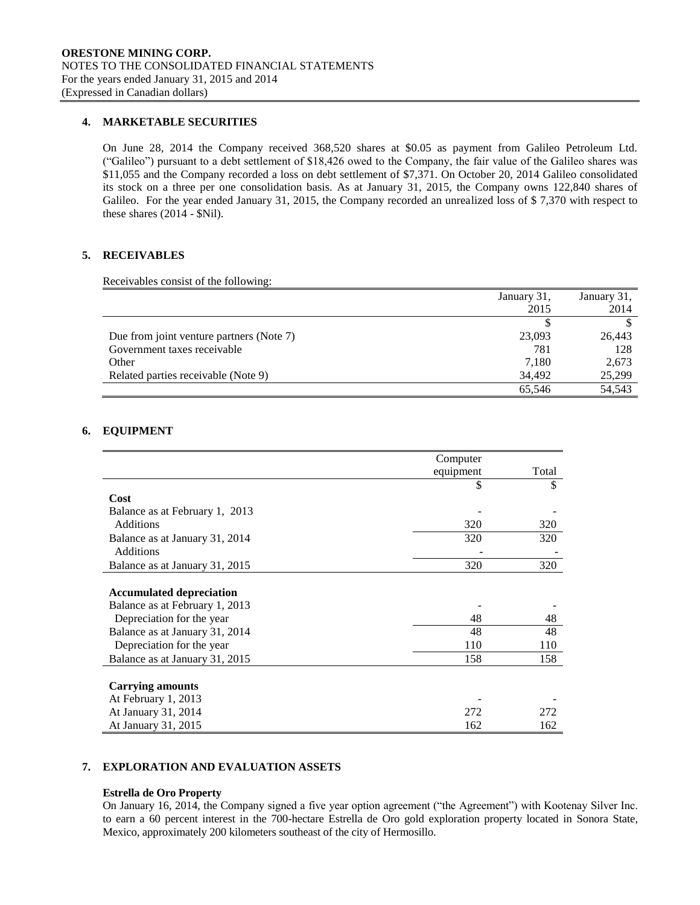## **4. MARKETABLE SECURITIES**

On June 28, 2014 the Company received 368,520 shares at \$0.05 as payment from Galileo Petroleum Ltd. ("Galileo") pursuant to a debt settlement of \$18,426 owed to the Company, the fair value of the Galileo shares was \$11,055 and the Company recorded a loss on debt settlement of \$7,371. On October 20, 2014 Galileo consolidated its stock on a three per one consolidation basis. As at January 31, 2015, the Company owns 122,840 shares of Galileo. For the year ended January 31, 2015, the Company recorded an unrealized loss of \$ 7,370 with respect to these shares (2014 - \$Nil).

## **5. RECEIVABLES**

Receivables consist of the following:

|                                          | January 31, | January 31, |
|------------------------------------------|-------------|-------------|
|                                          | 2015        | 2014        |
|                                          |             |             |
| Due from joint venture partners (Note 7) | 23,093      | 26,443      |
| Government taxes receivable              | 781         | 128         |
| Other                                    | 7.180       | 2,673       |
| Related parties receivable (Note 9)      | 34.492      | 25,299      |
|                                          | 65,546      | 54,543      |

# **6. EQUIPMENT**

|                                 | Computer  |       |
|---------------------------------|-----------|-------|
|                                 | equipment | Total |
|                                 | \$        | \$    |
| Cost                            |           |       |
| Balance as at February 1, 2013  |           |       |
| <b>Additions</b>                | 320       | 320   |
| Balance as at January 31, 2014  | 320       | 320   |
| <b>Additions</b>                |           |       |
| Balance as at January 31, 2015  | 320       | 320   |
|                                 |           |       |
| <b>Accumulated depreciation</b> |           |       |
| Balance as at February 1, 2013  |           |       |
| Depreciation for the year       | 48        | 48    |
| Balance as at January 31, 2014  | 48        | 48    |
| Depreciation for the year       | 110       | 110   |
| Balance as at January 31, 2015  | 158       | 158   |
|                                 |           |       |
| <b>Carrying amounts</b>         |           |       |
| At February 1, 2013             |           |       |
| At January 31, 2014             | 272       | 272   |
| At January 31, 2015             | 162       | 162   |

# **7. EXPLORATION AND EVALUATION ASSETS**

#### **Estrella de Oro Property**

On January 16, 2014, the Company signed a five year option agreement ("the Agreement") with Kootenay Silver Inc. to earn a 60 percent interest in the 700-hectare Estrella de Oro gold exploration property located in Sonora State, Mexico, approximately 200 kilometers southeast of the city of Hermosillo.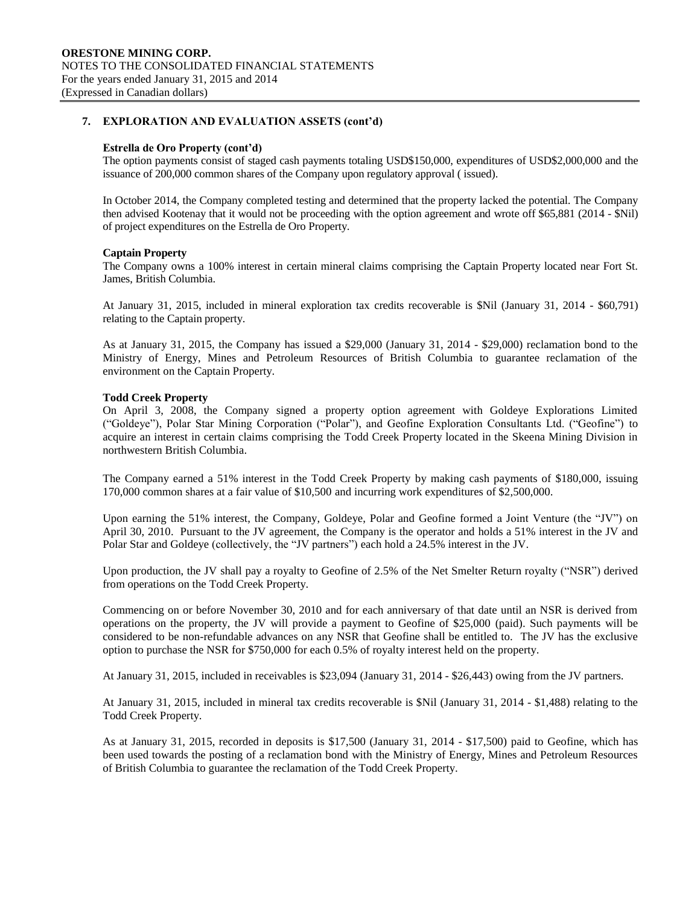## **7. EXPLORATION AND EVALUATION ASSETS (cont'd)**

## **Estrella de Oro Property (cont'd)**

The option payments consist of staged cash payments totaling USD\$150,000, expenditures of USD\$2,000,000 and the issuance of 200,000 common shares of the Company upon regulatory approval ( issued).

In October 2014, the Company completed testing and determined that the property lacked the potential. The Company then advised Kootenay that it would not be proceeding with the option agreement and wrote off \$65,881 (2014 - \$Nil) of project expenditures on the Estrella de Oro Property.

#### **Captain Property**

The Company owns a 100% interest in certain mineral claims comprising the Captain Property located near Fort St. James, British Columbia.

At January 31, 2015, included in mineral exploration tax credits recoverable is \$Nil (January 31, 2014 - \$60,791) relating to the Captain property.

As at January 31, 2015, the Company has issued a \$29,000 (January 31, 2014 - \$29,000) reclamation bond to the Ministry of Energy, Mines and Petroleum Resources of British Columbia to guarantee reclamation of the environment on the Captain Property.

### **Todd Creek Property**

On April 3, 2008, the Company signed a property option agreement with Goldeye Explorations Limited ("Goldeye"), Polar Star Mining Corporation ("Polar"), and Geofine Exploration Consultants Ltd. ("Geofine") to acquire an interest in certain claims comprising the Todd Creek Property located in the Skeena Mining Division in northwestern British Columbia.

The Company earned a 51% interest in the Todd Creek Property by making cash payments of \$180,000, issuing 170,000 common shares at a fair value of \$10,500 and incurring work expenditures of \$2,500,000.

Upon earning the 51% interest, the Company, Goldeye, Polar and Geofine formed a Joint Venture (the "JV") on April 30, 2010. Pursuant to the JV agreement, the Company is the operator and holds a 51% interest in the JV and Polar Star and Goldeye (collectively, the "JV partners") each hold a 24.5% interest in the JV.

Upon production, the JV shall pay a royalty to Geofine of 2.5% of the Net Smelter Return royalty ("NSR") derived from operations on the Todd Creek Property.

Commencing on or before November 30, 2010 and for each anniversary of that date until an NSR is derived from operations on the property, the JV will provide a payment to Geofine of \$25,000 (paid). Such payments will be considered to be non-refundable advances on any NSR that Geofine shall be entitled to. The JV has the exclusive option to purchase the NSR for \$750,000 for each 0.5% of royalty interest held on the property.

At January 31, 2015, included in receivables is \$23,094 (January 31, 2014 - \$26,443) owing from the JV partners.

At January 31, 2015, included in mineral tax credits recoverable is \$Nil (January 31, 2014 - \$1,488) relating to the Todd Creek Property.

As at January 31, 2015, recorded in deposits is \$17,500 (January 31, 2014 - \$17,500) paid to Geofine, which has been used towards the posting of a reclamation bond with the Ministry of Energy, Mines and Petroleum Resources of British Columbia to guarantee the reclamation of the Todd Creek Property.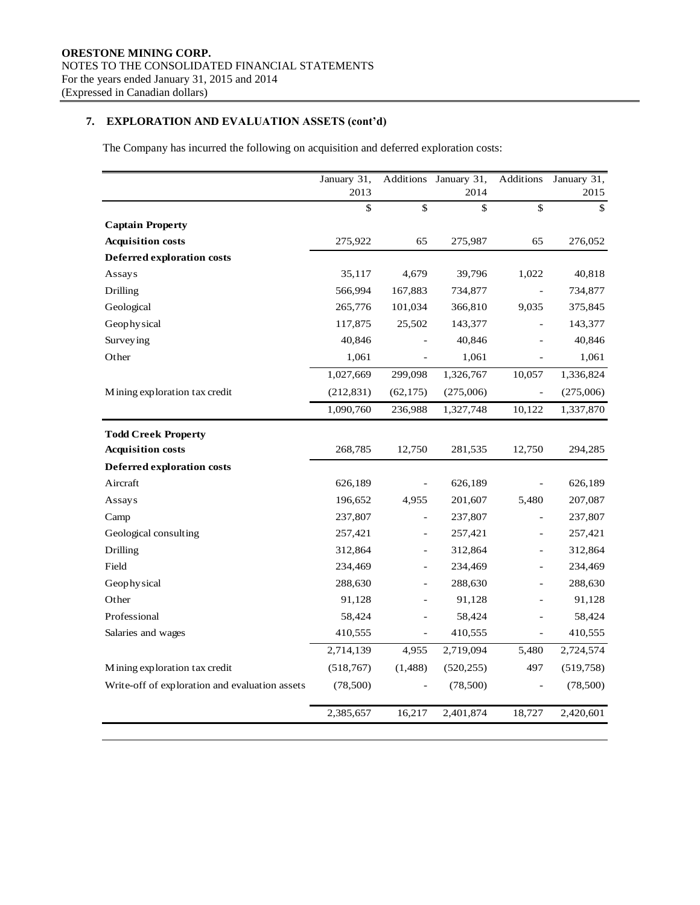# **7. EXPLORATION AND EVALUATION ASSETS (cont'd)**

The Company has incurred the following on acquisition and deferred exploration costs:

|                                                | January 31,<br>2013 |                | Additions January 31,<br>2014 | Additions      | January 31,<br>2015 |
|------------------------------------------------|---------------------|----------------|-------------------------------|----------------|---------------------|
|                                                | \$                  | \$             | \$                            | \$             | \$                  |
| <b>Captain Property</b>                        |                     |                |                               |                |                     |
| <b>Acquisition costs</b>                       | 275,922             | 65             | 275,987                       | 65             | 276,052             |
| Deferred exploration costs                     |                     |                |                               |                |                     |
| Assays                                         | 35,117              | 4,679          | 39,796                        | 1,022          | 40,818              |
| Drilling                                       | 566,994             | 167,883        | 734,877                       |                | 734,877             |
| Geological                                     | 265,776             | 101,034        | 366,810                       | 9,035          | 375,845             |
| Geophysical                                    | 117,875             | 25,502         | 143,377                       |                | 143,377             |
| Surveying                                      | 40,846              |                | 40,846                        |                | 40,846              |
| Other                                          | 1,061               |                | 1,061                         |                | 1,061               |
|                                                | 1,027,669           | 299,098        | 1,326,767                     | 10,057         | 1,336,824           |
| Mining exploration tax credit                  | (212, 831)          | (62, 175)      | (275,006)                     |                | (275,006)           |
|                                                | 1,090,760           | 236,988        | 1,327,748                     | 10,122         | 1,337,870           |
| <b>Todd Creek Property</b>                     |                     |                |                               |                |                     |
| <b>Acquisition costs</b>                       | 268,785             | 12,750         | 281,535                       | 12,750         | 294,285             |
| Deferred exploration costs                     |                     |                |                               |                |                     |
| Aircraft                                       | 626,189             |                | 626,189                       |                | 626,189             |
| Assays                                         | 196,652             | 4,955          | 201,607                       | 5,480          | 207,087             |
| Camp                                           | 237,807             | $\overline{a}$ | 237,807                       | $\overline{a}$ | 237,807             |
| Geological consulting                          | 257,421             |                | 257,421                       |                | 257,421             |
| Drilling                                       | 312,864             |                | 312,864                       |                | 312,864             |
| Field                                          | 234,469             |                | 234,469                       |                | 234,469             |
| Geophysical                                    | 288,630             |                | 288,630                       |                | 288,630             |
| Other                                          | 91,128              |                | 91,128                        |                | 91,128              |
| Professional                                   | 58,424              |                | 58,424                        |                | 58,424              |
| Salaries and wages                             | 410,555             |                | 410,555                       | $\blacksquare$ | 410,555             |
|                                                | 2,714,139           | 4,955          | 2,719,094                     | 5,480          | 2,724,574           |
| Mining exploration tax credit                  | (518, 767)          | (1,488)        | (520, 255)                    | 497            | (519, 758)          |
| Write-off of exploration and evaluation assets | (78,500)            |                | (78,500)                      |                | (78,500)            |
|                                                | 2,385,657           | 16,217         | 2,401,874                     | 18,727         | 2,420,601           |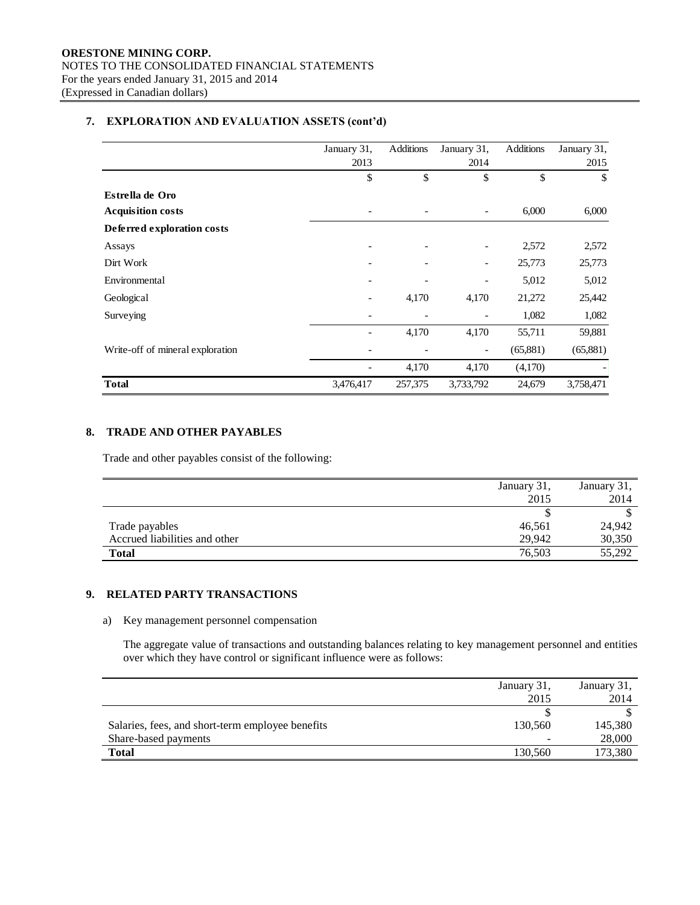# **7. EXPLORATION AND EVALUATION ASSETS (cont'd)**

|                                  | January 31, | <b>Additions</b> | January 31,              | <b>Additions</b> | January 31, |
|----------------------------------|-------------|------------------|--------------------------|------------------|-------------|
|                                  | 2013        |                  | 2014                     |                  | 2015        |
|                                  | \$          | \$               | \$                       | \$               | \$          |
| <b>Estrella de Oro</b>           |             |                  |                          |                  |             |
| <b>Acquisition costs</b>         |             |                  | $\overline{\phantom{a}}$ | 6,000            | 6,000       |
| Deferred exploration costs       |             |                  |                          |                  |             |
| Assays                           |             |                  | $\overline{\phantom{a}}$ | 2,572            | 2,572       |
| Dirt Work                        |             |                  | $\overline{\phantom{a}}$ | 25,773           | 25,773      |
| Environmental                    |             |                  | $\overline{a}$           | 5,012            | 5,012       |
| Geological                       |             | 4,170            | 4,170                    | 21,272           | 25,442      |
| Surveying                        |             |                  | $\overline{\phantom{a}}$ | 1,082            | 1,082       |
|                                  |             | 4,170            | 4,170                    | 55,711           | 59,881      |
| Write-off of mineral exploration |             |                  | $\overline{\phantom{a}}$ | (65,881)         | (65,881)    |
|                                  |             | 4,170            | 4,170                    | (4,170)          |             |
| <b>Total</b>                     | 3,476,417   | 257,375          | 3,733,792                | 24,679           | 3,758,471   |

# **8. TRADE AND OTHER PAYABLES**

Trade and other payables consist of the following:

|                               | January 31, | January 31, |
|-------------------------------|-------------|-------------|
|                               | 2015        | 2014        |
|                               |             |             |
| Trade payables                | 46,561      | 24,942      |
| Accrued liabilities and other | 29.942      | 30,350      |
| <b>Total</b>                  | 76,503      | 55,292      |

# **9. RELATED PARTY TRANSACTIONS**

a) Key management personnel compensation

The aggregate value of transactions and outstanding balances relating to key management personnel and entities over which they have control or significant influence were as follows:

|                                                  | January 31,              | January 31, |
|--------------------------------------------------|--------------------------|-------------|
|                                                  | 2015                     | 2014        |
|                                                  |                          |             |
| Salaries, fees, and short-term employee benefits | 130,560                  | 145,380     |
| Share-based payments                             | $\overline{\phantom{a}}$ | 28,000      |
| <b>Total</b>                                     | 130,560                  | 173,380     |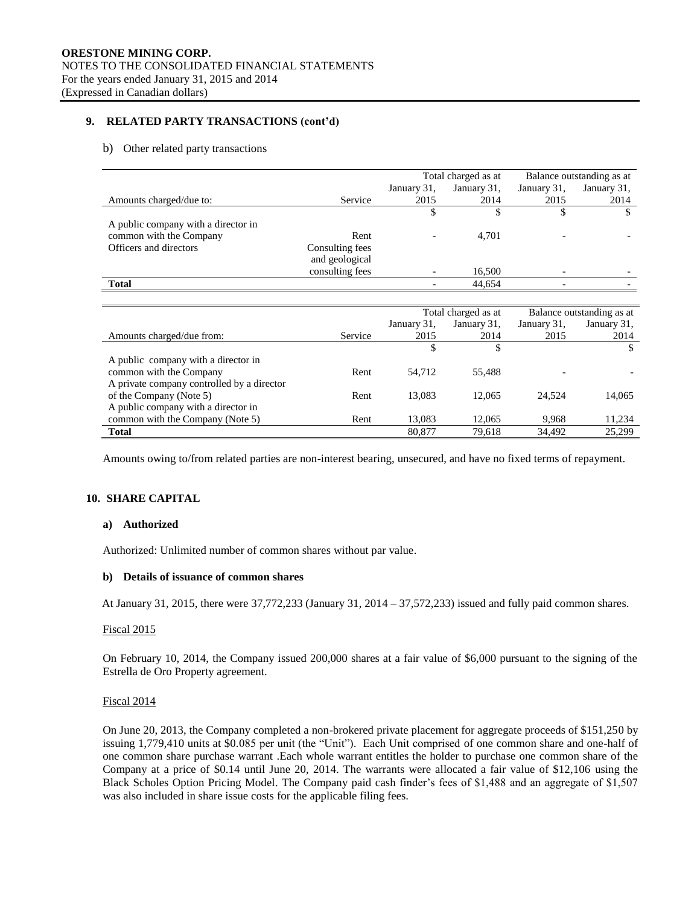# **9. RELATED PARTY TRANSACTIONS (cont'd)**

#### b) Other related party transactions

|                                            |                 |             | Total charged as at |             | Balance outstanding as at |
|--------------------------------------------|-----------------|-------------|---------------------|-------------|---------------------------|
|                                            |                 | January 31, | January 31,         | January 31, | January 31,               |
| Amounts charged/due to:                    | Service         | 2015        | 2014                | 2015        | 2014                      |
|                                            |                 | \$          | \$                  | \$          | \$                        |
| A public company with a director in        |                 |             |                     |             |                           |
| common with the Company                    | Rent            |             | 4,701               |             |                           |
| Officers and directors                     | Consulting fees |             |                     |             |                           |
|                                            | and geological  |             |                     |             |                           |
|                                            | consulting fees |             | 16,500              |             |                           |
| <b>Total</b>                               |                 |             | 44,654              |             |                           |
|                                            |                 |             |                     |             |                           |
|                                            |                 |             | Total charged as at |             | Balance outstanding as at |
|                                            |                 | January 31, | January 31,         | January 31, | January 31,               |
| Amounts charged/due from:                  | Service         | 2015        | 2014                | 2015        | 2014                      |
|                                            |                 | \$          | \$                  |             | S                         |
| A public company with a director in        |                 |             |                     |             |                           |
| common with the Company                    | Rent            | 54,712      | 55,488              |             |                           |
| A private company controlled by a director |                 |             |                     |             |                           |
| of the Company (Note 5)                    | Rent            | 13,083      | 12,065              | 24,524      | 14,065                    |
| A public company with a director in        |                 |             |                     |             |                           |
| common with the Company (Note 5)           | Rent            | 13,083      | 12,065              | 9,968       | 11,234                    |
| <b>Total</b>                               |                 | 80,877      | 79,618              | 34,492      | 25,299                    |

Amounts owing to/from related parties are non-interest bearing, unsecured, and have no fixed terms of repayment.

## **10. SHARE CAPITAL**

#### **a) Authorized**

Authorized: Unlimited number of common shares without par value.

### **b) Details of issuance of common shares**

At January 31, 2015, there were 37,772,233 (January 31, 2014 – 37,572,233) issued and fully paid common shares.

#### Fiscal 2015

On February 10, 2014, the Company issued 200,000 shares at a fair value of \$6,000 pursuant to the signing of the Estrella de Oro Property agreement.

#### Fiscal 2014

On June 20, 2013, the Company completed a non-brokered private placement for aggregate proceeds of \$151,250 by issuing 1,779,410 units at \$0.085 per unit (the "Unit"). Each Unit comprised of one common share and one-half of one common share purchase warrant .Each whole warrant entitles the holder to purchase one common share of the Company at a price of \$0.14 until June 20, 2014. The warrants were allocated a fair value of \$12,106 using the Black Scholes Option Pricing Model. The Company paid cash finder's fees of \$1,488 and an aggregate of \$1,507 was also included in share issue costs for the applicable filing fees.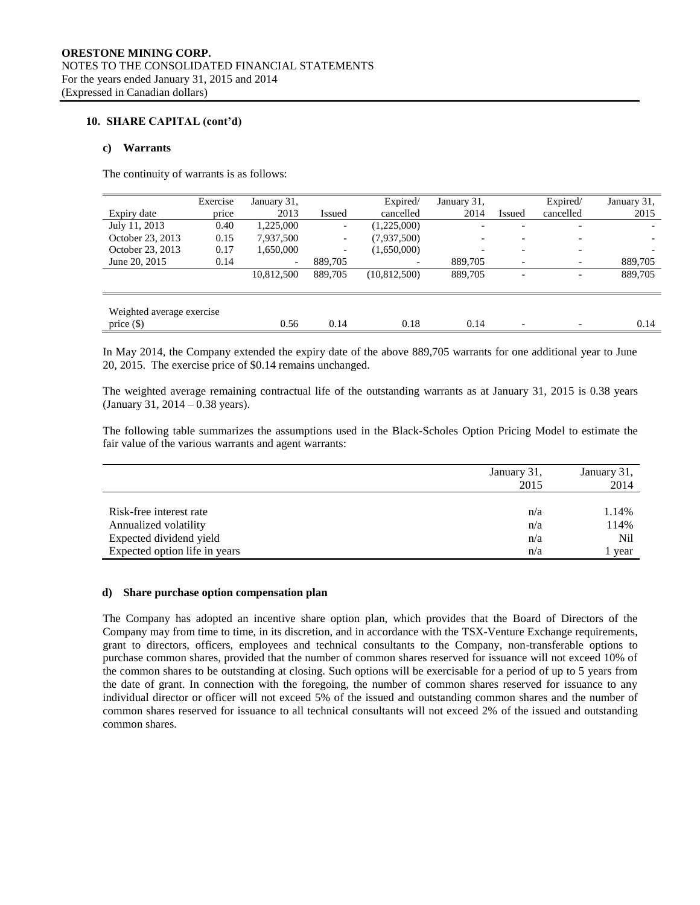## **10. SHARE CAPITAL (cont'd)**

#### **c) Warrants**

The continuity of warrants is as follows:

|                           | Exercise | January 31,              |                          | Expired/                 | January 31,              |                          | Expired/                 | January 31,              |
|---------------------------|----------|--------------------------|--------------------------|--------------------------|--------------------------|--------------------------|--------------------------|--------------------------|
| Expiry date               | price    | 2013                     | Issued                   | cancelled                | 2014                     | Issued                   | cancelled                | 2015                     |
| July 11, 2013             | 0.40     | 1,225,000                | $\overline{\phantom{a}}$ | (1,225,000)              | $\overline{\phantom{0}}$ | $\overline{\phantom{0}}$ | $\overline{\phantom{0}}$ |                          |
| October 23, 2013          | 0.15     | 7.937.500                | $\overline{\phantom{a}}$ | (7,937,500)              | $\overline{\phantom{0}}$ | $\overline{\phantom{0}}$ | $\overline{\phantom{0}}$ | $\overline{\phantom{a}}$ |
| October 23, 2013          | 0.17     | 1,650,000                | $\overline{\phantom{a}}$ | (1,650,000)              |                          | $\overline{\phantom{0}}$ |                          |                          |
| June 20, 2015             | 0.14     | $\overline{\phantom{a}}$ | 889,705                  | $\overline{\phantom{a}}$ | 889,705                  | $\overline{\phantom{a}}$ | $\overline{\phantom{a}}$ | 889,705                  |
|                           |          | 10,812,500               | 889,705                  | (10, 812, 500)           | 889,705                  | $\overline{\phantom{a}}$ | $\overline{\phantom{a}}$ | 889,705                  |
|                           |          |                          |                          |                          |                          |                          |                          |                          |
|                           |          |                          |                          |                          |                          |                          |                          |                          |
| Weighted average exercise |          |                          |                          |                          |                          |                          |                          |                          |
| price $(\$)$              |          | 0.56                     | 0.14                     | 0.18                     | 0.14                     |                          |                          | 0.14                     |

In May 2014, the Company extended the expiry date of the above 889,705 warrants for one additional year to June 20, 2015. The exercise price of \$0.14 remains unchanged.

The weighted average remaining contractual life of the outstanding warrants as at January 31, 2015 is 0.38 years (January 31, 2014 – 0.38 years).

The following table summarizes the assumptions used in the Black-Scholes Option Pricing Model to estimate the fair value of the various warrants and agent warrants:

|                               | January 31, | January 31, |
|-------------------------------|-------------|-------------|
|                               | 2015        | 2014        |
|                               |             |             |
| Risk-free interest rate       | n/a         | 1.14%       |
| Annualized volatility         | n/a         | 114%        |
| Expected dividend yield       | n/a         | Nil         |
| Expected option life in years | n/a         | year        |

#### **d) Share purchase option compensation plan**

The Company has adopted an incentive share option plan, which provides that the Board of Directors of the Company may from time to time, in its discretion, and in accordance with the TSX-Venture Exchange requirements, grant to directors, officers, employees and technical consultants to the Company, non-transferable options to purchase common shares, provided that the number of common shares reserved for issuance will not exceed 10% of the common shares to be outstanding at closing. Such options will be exercisable for a period of up to 5 years from the date of grant. In connection with the foregoing, the number of common shares reserved for issuance to any individual director or officer will not exceed 5% of the issued and outstanding common shares and the number of common shares reserved for issuance to all technical consultants will not exceed 2% of the issued and outstanding common shares.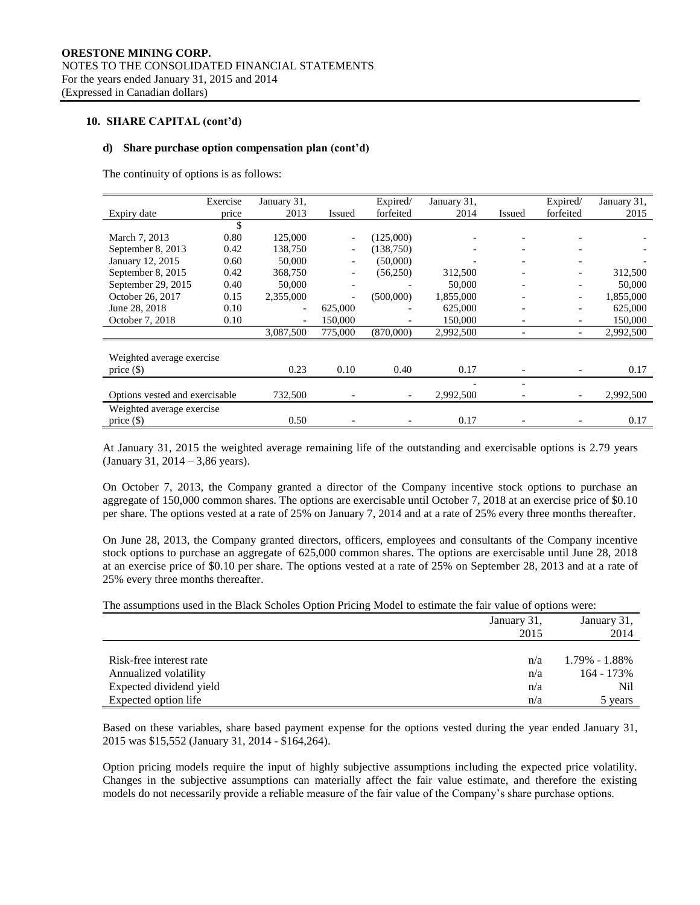## **10. SHARE CAPITAL (cont'd)**

#### **d) Share purchase option compensation plan (cont'd)**

The continuity of options is as follows:

|                                | Exercise | January 31,              |                          | Expired/   | January 31,              |                          | Expired/                 | January 31, |
|--------------------------------|----------|--------------------------|--------------------------|------------|--------------------------|--------------------------|--------------------------|-------------|
| Expiry date                    | price    | 2013                     | Issued                   | forfeited  | 2014                     | <b>Issued</b>            | forfeited                | 2015        |
|                                | \$       |                          |                          |            |                          |                          |                          |             |
| March 7, 2013                  | 0.80     | 125,000                  |                          | (125,000)  |                          |                          |                          |             |
| September 8, 2013              | 0.42     | 138,750                  | $\overline{\phantom{0}}$ | (138, 750) |                          | -                        | $\overline{\phantom{0}}$ |             |
| January 12, 2015               | 0.60     | 50,000                   |                          | (50,000)   | $\overline{\phantom{0}}$ | $\overline{\phantom{a}}$ | $\overline{\phantom{0}}$ |             |
| September 8, 2015              | 0.42     | 368,750                  |                          | (56,250)   | 312,500                  | $\overline{\phantom{a}}$ | $\overline{\phantom{a}}$ | 312,500     |
| September 29, 2015             | 0.40     | 50,000                   |                          |            | 50,000                   | -                        |                          | 50,000      |
| October 26, 2017               | 0.15     | 2,355,000                |                          | (500,000)  | 1,855,000                |                          |                          | 1,855,000   |
| June 28, 2018                  | 0.10     | $\overline{\phantom{a}}$ | 625,000                  |            | 625,000                  |                          |                          | 625,000     |
| October 7, 2018                | 0.10     | $\blacksquare$           | 150,000                  |            | 150,000                  | -                        | $\overline{\phantom{a}}$ | 150,000     |
|                                |          | 3,087,500                | 775,000                  | (870,000)  | 2,992,500                |                          |                          | 2,992,500   |
|                                |          |                          |                          |            |                          |                          |                          |             |
| Weighted average exercise      |          |                          |                          |            |                          |                          |                          |             |
| price $(\$)$                   |          | 0.23                     | 0.10                     | 0.40       | 0.17                     |                          |                          | 0.17        |
|                                |          |                          |                          |            |                          | $\overline{\phantom{0}}$ |                          |             |
| Options vested and exercisable |          | 732,500                  |                          |            | 2,992,500                |                          |                          | 2,992,500   |
| Weighted average exercise      |          |                          |                          |            |                          |                          |                          |             |
| price $(\$)$                   |          | 0.50                     |                          |            | 0.17                     |                          |                          | 0.17        |

At January 31, 2015 the weighted average remaining life of the outstanding and exercisable options is 2.79 years (January 31, 2014 – 3,86 years).

On October 7, 2013, the Company granted a director of the Company incentive stock options to purchase an aggregate of 150,000 common shares. The options are exercisable until October 7, 2018 at an exercise price of \$0.10 per share. The options vested at a rate of 25% on January 7, 2014 and at a rate of 25% every three months thereafter.

On June 28, 2013, the Company granted directors, officers, employees and consultants of the Company incentive stock options to purchase an aggregate of 625,000 common shares. The options are exercisable until June 28, 2018 at an exercise price of \$0.10 per share. The options vested at a rate of 25% on September 28, 2013 and at a rate of 25% every three months thereafter.

| The assumptions used in the Black Scholes Option Pricing Model to estimate the fair value of options were: |             |                   |  |  |
|------------------------------------------------------------------------------------------------------------|-------------|-------------------|--|--|
|                                                                                                            | January 31, | January 31,       |  |  |
|                                                                                                            | 2015        | 2014              |  |  |
|                                                                                                            |             |                   |  |  |
| Risk-free interest rate                                                                                    | n/a         | $1.79\% - 1.88\%$ |  |  |
| Annualized volatility                                                                                      | n/a         | 164 - 173%        |  |  |
| Expected dividend yield                                                                                    | n/a         | Nil               |  |  |
| Expected option life                                                                                       | n/a         | 5 years           |  |  |

The assumptions used in the Black Scholes Option Pricing Model to estimate the fair value of options were:

Based on these variables, share based payment expense for the options vested during the year ended January 31, 2015 was \$15,552 (January 31, 2014 - \$164,264).

Option pricing models require the input of highly subjective assumptions including the expected price volatility. Changes in the subjective assumptions can materially affect the fair value estimate, and therefore the existing models do not necessarily provide a reliable measure of the fair value of the Company's share purchase options.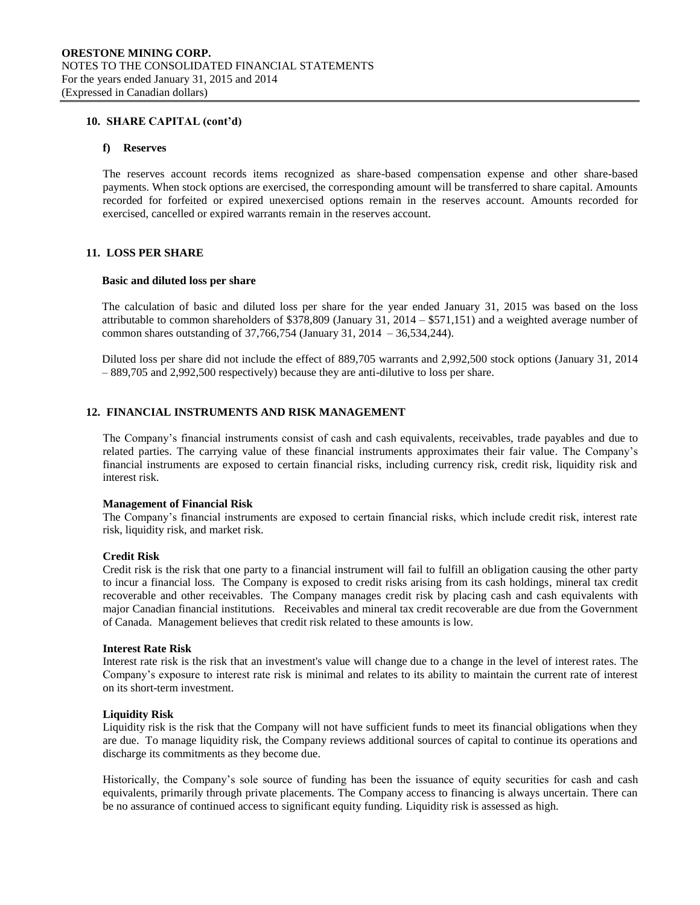## **10. SHARE CAPITAL (cont'd)**

#### **f) Reserves**

The reserves account records items recognized as share-based compensation expense and other share-based payments. When stock options are exercised, the corresponding amount will be transferred to share capital. Amounts recorded for forfeited or expired unexercised options remain in the reserves account. Amounts recorded for exercised, cancelled or expired warrants remain in the reserves account.

#### **11. LOSS PER SHARE**

#### **Basic and diluted loss per share**

The calculation of basic and diluted loss per share for the year ended January 31, 2015 was based on the loss attributable to common shareholders of \$378,809 (January 31, 2014 – \$571,151) and a weighted average number of common shares outstanding of 37,766,754 (January 31, 2014 – 36,534,244).

Diluted loss per share did not include the effect of 889,705 warrants and 2,992,500 stock options (January 31, 2014 – 889,705 and 2,992,500 respectively) because they are anti-dilutive to loss per share.

# **12. FINANCIAL INSTRUMENTS AND RISK MANAGEMENT**

The Company's financial instruments consist of cash and cash equivalents, receivables, trade payables and due to related parties. The carrying value of these financial instruments approximates their fair value. The Company's financial instruments are exposed to certain financial risks, including currency risk, credit risk, liquidity risk and interest risk.

#### **Management of Financial Risk**

The Company's financial instruments are exposed to certain financial risks, which include credit risk, interest rate risk, liquidity risk, and market risk.

#### **Credit Risk**

Credit risk is the risk that one party to a financial instrument will fail to fulfill an obligation causing the other party to incur a financial loss. The Company is exposed to credit risks arising from its cash holdings, mineral tax credit recoverable and other receivables. The Company manages credit risk by placing cash and cash equivalents with major Canadian financial institutions. Receivables and mineral tax credit recoverable are due from the Government of Canada. Management believes that credit risk related to these amounts is low.

#### **Interest Rate Risk**

Interest rate risk is the risk that an investment's value will change due to a change in the level of interest rates. The Company's exposure to interest rate risk is minimal and relates to its ability to maintain the current rate of interest on its short-term investment.

#### **Liquidity Risk**

Liquidity risk is the risk that the Company will not have sufficient funds to meet its financial obligations when they are due. To manage liquidity risk, the Company reviews additional sources of capital to continue its operations and discharge its commitments as they become due.

Historically, the Company's sole source of funding has been the issuance of equity securities for cash and cash equivalents, primarily through private placements. The Company access to financing is always uncertain. There can be no assurance of continued access to significant equity funding. Liquidity risk is assessed as high.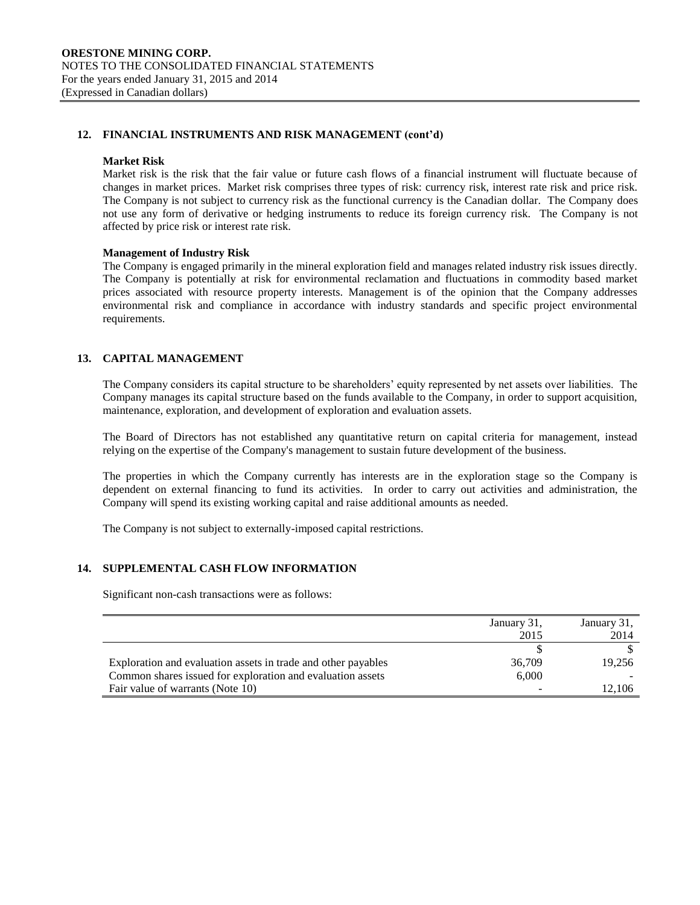# **12. FINANCIAL INSTRUMENTS AND RISK MANAGEMENT (cont'd)**

## **Market Risk**

Market risk is the risk that the fair value or future cash flows of a financial instrument will fluctuate because of changes in market prices. Market risk comprises three types of risk: currency risk, interest rate risk and price risk. The Company is not subject to currency risk as the functional currency is the Canadian dollar. The Company does not use any form of derivative or hedging instruments to reduce its foreign currency risk. The Company is not affected by price risk or interest rate risk.

## **Management of Industry Risk**

The Company is engaged primarily in the mineral exploration field and manages related industry risk issues directly. The Company is potentially at risk for environmental reclamation and fluctuations in commodity based market prices associated with resource property interests. Management is of the opinion that the Company addresses environmental risk and compliance in accordance with industry standards and specific project environmental requirements.

# **13. CAPITAL MANAGEMENT**

The Company considers its capital structure to be shareholders' equity represented by net assets over liabilities. The Company manages its capital structure based on the funds available to the Company, in order to support acquisition, maintenance, exploration, and development of exploration and evaluation assets.

The Board of Directors has not established any quantitative return on capital criteria for management, instead relying on the expertise of the Company's management to sustain future development of the business.

The properties in which the Company currently has interests are in the exploration stage so the Company is dependent on external financing to fund its activities. In order to carry out activities and administration, the Company will spend its existing working capital and raise additional amounts as needed.

The Company is not subject to externally-imposed capital restrictions.

# **14. SUPPLEMENTAL CASH FLOW INFORMATION**

Significant non-cash transactions were as follows:

|                                                               | January 31, | January 31, |
|---------------------------------------------------------------|-------------|-------------|
|                                                               | 2015        | 2014        |
|                                                               |             |             |
| Exploration and evaluation assets in trade and other payables | 36,709      | 19.256      |
| Common shares issued for exploration and evaluation assets    | 6,000       |             |
| Fair value of warrants (Note 10)                              |             | 12.106      |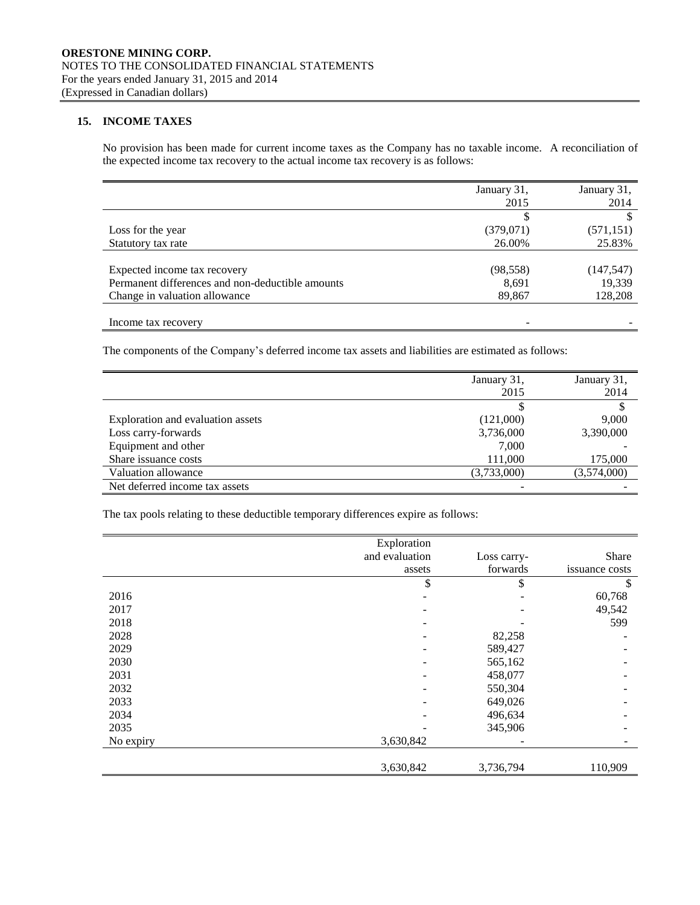# **15. INCOME TAXES**

No provision has been made for current income taxes as the Company has no taxable income. A reconciliation of the expected income tax recovery to the actual income tax recovery is as follows:

|                                                  | January 31,<br>2015 | January 31,<br>2014 |
|--------------------------------------------------|---------------------|---------------------|
|                                                  |                     |                     |
| Loss for the year                                | (379, 071)          | (571, 151)          |
| Statutory tax rate                               | 26.00%              | 25.83%              |
|                                                  |                     |                     |
| Expected income tax recovery                     | (98, 558)           | (147, 547)          |
| Permanent differences and non-deductible amounts | 8,691               | 19,339              |
| Change in valuation allowance                    | 89,867              | 128,208             |
|                                                  |                     |                     |
| Income tax recovery                              |                     |                     |

The components of the Company's deferred income tax assets and liabilities are estimated as follows:

|                                   | January 31, | January 31, |
|-----------------------------------|-------------|-------------|
|                                   | 2015        | 2014        |
|                                   |             |             |
| Exploration and evaluation assets | (121,000)   | 9,000       |
| Loss carry-forwards               | 3,736,000   | 3,390,000   |
| Equipment and other               | 7,000       |             |
| Share issuance costs              | 111,000     | 175,000     |
| Valuation allowance               | (3,733,000) | (3,574,000) |
| Net deferred income tax assets    |             |             |

The tax pools relating to these deductible temporary differences expire as follows:

|           | Exploration<br>and evaluation<br>assets | Loss carry-<br>forwards | Share<br>issuance costs |
|-----------|-----------------------------------------|-------------------------|-------------------------|
|           | \$                                      | \$                      | <sup>\$</sup>           |
| 2016      |                                         |                         | 60,768                  |
| 2017      |                                         |                         | 49,542                  |
| 2018      |                                         |                         | 599                     |
| 2028      |                                         | 82,258                  |                         |
| 2029      |                                         | 589,427                 |                         |
| 2030      |                                         | 565,162                 |                         |
| 2031      |                                         | 458,077                 |                         |
| 2032      |                                         | 550,304                 |                         |
| 2033      |                                         | 649,026                 |                         |
| 2034      |                                         | 496,634                 |                         |
| 2035      |                                         | 345,906                 |                         |
| No expiry | 3,630,842                               |                         |                         |
|           | 3,630,842                               | 3,736,794               | 110,909                 |